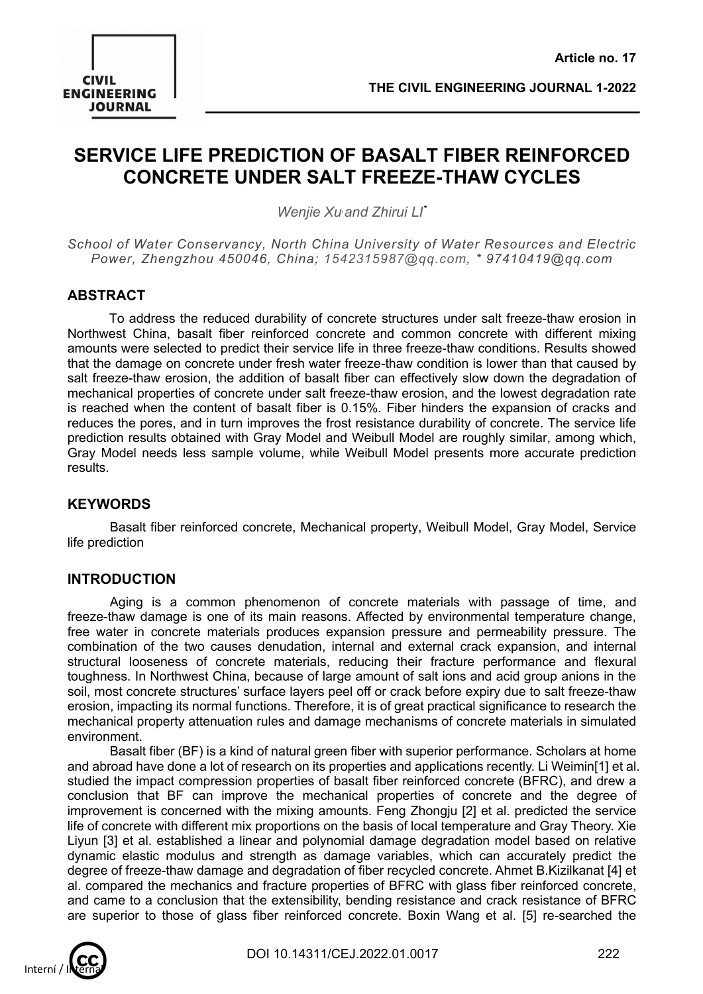

## **SERVICE LIFE PREDICTION OF BASALT FIBER REINFORCED CONCRETE UNDER SALT FREEZE-THAW CYCLES**

*Wenjie Xu, and Zhirui LI\**

*School of Water Conservancy, North China University of Water Resources and Electric Power, Zhengzhou 450046, China; 1542315987@qq.com, \* 97410419@qq.com*

## **ABSTRACT**

To address the reduced durability of concrete structures under salt freeze-thaw erosion in Northwest China, basalt fiber reinforced concrete and common concrete with different mixing amounts were selected to predict their service life in three freeze-thaw conditions. Results showed that the damage on concrete under fresh water freeze-thaw condition is lower than that caused by salt freeze-thaw erosion, the addition of basalt fiber can effectively slow down the degradation of mechanical properties of concrete under salt freeze-thaw erosion, and the lowest degradation rate is reached when the content of basalt fiber is 0.15%. Fiber hinders the expansion of cracks and reduces the pores, and in turn improves the frost resistance durability of concrete. The service life prediction results obtained with Gray Model and Weibull Model are roughly similar, among which, Gray Model needs less sample volume, while Weibull Model presents more accurate prediction results.

## **KEYWORDS**

Basalt fiber reinforced concrete, Mechanical property, Weibull Model, Gray Model, Service life prediction

## **INTRODUCTION**

Aging is a common phenomenon of concrete materials with passage of time, and freeze-thaw damage is one of its main reasons. Affected by environmental temperature change, free water in concrete materials produces expansion pressure and permeability pressure. The combination of the two causes denudation, internal and external crack expansion, and internal structural looseness of concrete materials, reducing their fracture performance and flexural toughness. In Northwest China, because of large amount of salt ions and acid group anions in the soil, most concrete structures' surface layers peel off or crack before expiry due to salt freeze-thaw erosion, impacting its normal functions. Therefore, it is of great practical significance to research the mechanical property attenuation rules and damage mechanisms of concrete materials in simulated environment.

Basalt fiber (BF) is a kind of natural green fiber with superior performance. Scholars at home and abroad have done a lot of research on its properties and applications recently. Li Weimin[1] et al. studied the impact compression properties of basalt fiber reinforced concrete (BFRC), and drew a conclusion that BF can improve the mechanical properties of concrete and the degree of improvement is concerned with the mixing amounts. Feng Zhongju [2] et al. predicted the service life of concrete with different mix proportions on the basis of local temperature and Gray Theory. Xie Liyun [3] et al. established a linear and polynomial damage degradation model based on relative dynamic elastic modulus and strength as damage variables, which can accurately predict the degree of freeze-thaw damage and degradation of fiber recycled concrete. Ahmet B.Kizilkanat [4] et al. compared the mechanics and fracture properties of BFRC with glass fiber reinforced concrete, and came to a conclusion that the extensibility, bending resistance and crack resistance of BFRC are superior to those of glass fiber reinforced concrete. Boxin Wang et al. [5] re-searched the

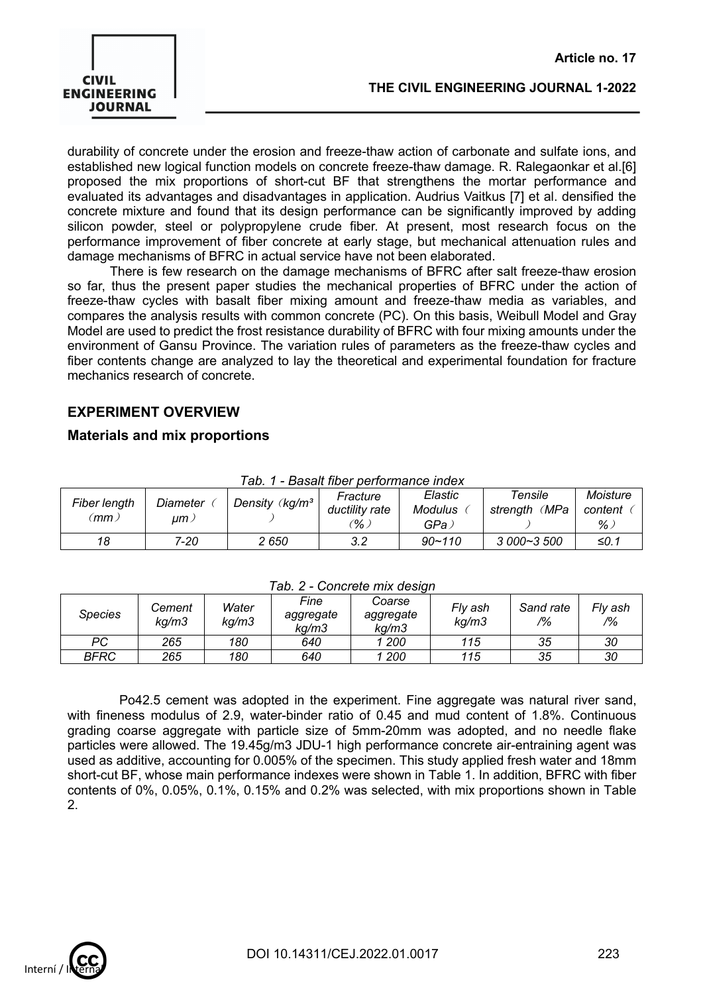

durability of concrete under the erosion and freeze-thaw action of carbonate and sulfate ions, and established new logical function models on concrete freeze-thaw damage. R. Ralegaonkar et al.[6] proposed the mix proportions of short-cut BF that strengthens the mortar performance and evaluated its advantages and disadvantages in application. Audrius Vaitkus [7] et al. densified the concrete mixture and found that its design performance can be significantly improved by adding silicon powder, steel or polypropylene crude fiber. At present, most research focus on the performance improvement of fiber concrete at early stage, but mechanical attenuation rules and damage mechanisms of BFRC in actual service have not been elaborated.

There is few research on the damage mechanisms of BFRC after salt freeze-thaw erosion so far, thus the present paper studies the mechanical properties of BFRC under the action of freeze-thaw cycles with basalt fiber mixing amount and freeze-thaw media as variables, and compares the analysis results with common concrete (PC). On this basis, Weibull Model and Gray Model are used to predict the frost resistance durability of BFRC with four mixing amounts under the environment of Gansu Province. The variation rules of parameters as the freeze-thaw cycles and fiber contents change are analyzed to lay the theoretical and experimental foundation for fracture mechanics research of concrete.

## **EXPERIMENT OVERVIEW**

#### **Materials and mix proportions**

| Fiber length<br>Diameter<br>(mm )<br>um ) |      | Density $\langle$ kg/m <sup>3</sup> | rav. i - Dasait lib <del>e</del> r bellumance liluex<br>Fracture | Elastic                | Tensile       | Moisture     |
|-------------------------------------------|------|-------------------------------------|------------------------------------------------------------------|------------------------|---------------|--------------|
|                                           |      |                                     | ductility rate<br>$\%$ ,                                         | <b>Modulus</b><br>GPa. | strength (MPa | content<br>% |
| 18                                        | 7-20 | 2 650                               | 3.2                                                              | $90 - 110$             | $3000 - 3500$ | ≤0.1         |

#### *Tab. 1 - Basalt fiber performance index*

#### *Tab. 2 - Concrete mix design*

| Species | Cement<br>ka/m3 | Water<br>kg/m3 | Fine<br>aggregate<br>ka/m3 | Coarse<br>aggregate<br>ka/m3 | Fly ash<br>kg/m3 | Sand rate<br>$\frac{10}{6}$ | Fly ash<br>$\frac{1}{2}$ |
|---------|-----------------|----------------|----------------------------|------------------------------|------------------|-----------------------------|--------------------------|
| PС      | 265             | 180            | 640                        | 200                          | 115              | 35                          | 30                       |
| BFRC    | 265             | 180            | 640                        | 200                          | 115              | 35                          | 30                       |

Po42.5 cement was adopted in the experiment. Fine aggregate was natural river sand, with fineness modulus of 2.9, water-binder ratio of 0.45 and mud content of 1.8%. Continuous grading coarse aggregate with particle size of 5mm-20mm was adopted, and no needle flake particles were allowed. The 19.45g/m3 JDU-1 high performance concrete air-entraining agent was used as additive, accounting for 0.005% of the specimen. This study applied fresh water and 18mm short-cut BF, whose main performance indexes were shown in Table 1. In addition, BFRC with fiber contents of 0%, 0.05%, 0.1%, 0.15% and 0.2% was selected, with mix proportions shown in Table 2.

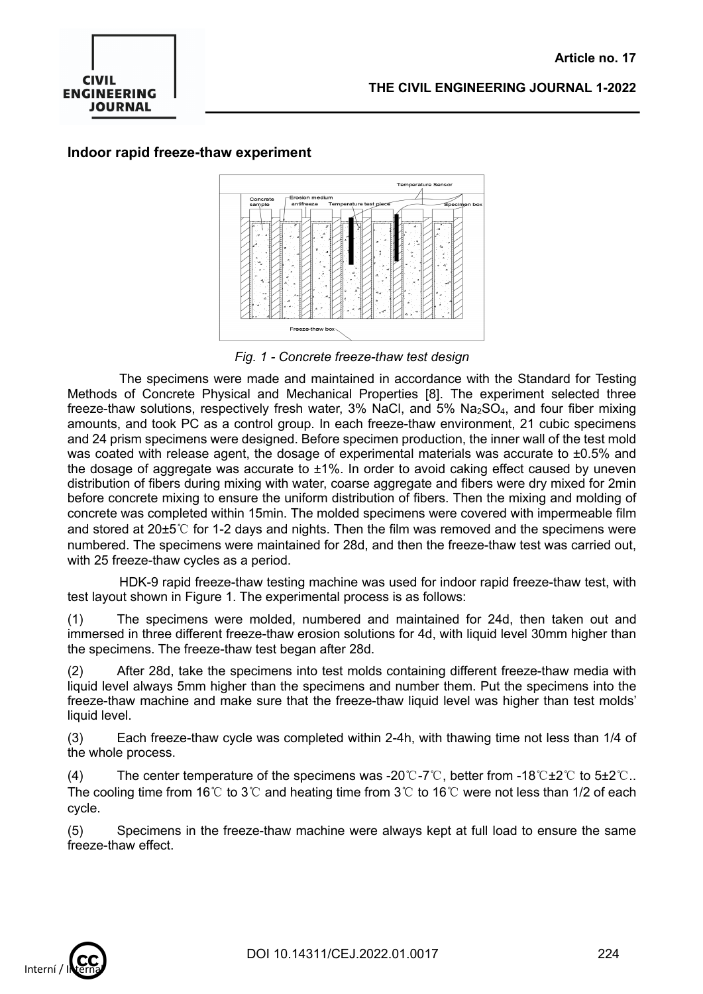

#### **Indoor rapid freeze-thaw experiment**



*Fig. 1 - Concrete freeze-thaw test design*

The specimens were made and maintained in accordance with the Standard for Testing Methods of Concrete Physical and Mechanical Properties [8]. The experiment selected three freeze-thaw solutions, respectively fresh water,  $3\%$  NaCl, and  $5\%$  Na<sub>2</sub>SO<sub>4</sub>, and four fiber mixing amounts, and took PC as a control group. In each freeze-thaw environment, 21 cubic specimens and 24 prism specimens were designed. Before specimen production, the inner wall of the test mold was coated with release agent, the dosage of experimental materials was accurate to  $\pm 0.5\%$  and the dosage of aggregate was accurate to  $\pm 1\%$ . In order to avoid caking effect caused by uneven distribution of fibers during mixing with water, coarse aggregate and fibers were dry mixed for 2min before concrete mixing to ensure the uniform distribution of fibers. Then the mixing and molding of concrete was completed within 15min. The molded specimens were covered with impermeable film and stored at 20±5℃ for 1-2 days and nights. Then the film was removed and the specimens were numbered. The specimens were maintained for 28d, and then the freeze-thaw test was carried out, with 25 freeze-thaw cycles as a period.

HDK-9 rapid freeze-thaw testing machine was used for indoor rapid freeze-thaw test, with test layout shown in Figure 1. The experimental process is as follows:

(1) The specimens were molded, numbered and maintained for 24d, then taken out and immersed in three different freeze-thaw erosion solutions for 4d, with liquid level 30mm higher than the specimens. The freeze-thaw test began after 28d.

(2) After 28d, take the specimens into test molds containing different freeze-thaw media with liquid level always 5mm higher than the specimens and number them. Put the specimens into the freeze-thaw machine and make sure that the freeze-thaw liquid level was higher than test molds' liquid level.

(3) Each freeze-thaw cycle was completed within 2-4h, with thawing time not less than 1/4 of the whole process.

(4) The center temperature of the specimens was -20℃-7℃, better from -18℃±2℃ to 5±2℃.. The cooling time from 16℃ to 3℃ and heating time from 3℃ to 16℃ were not less than 1/2 of each cycle.

(5) Specimens in the freeze-thaw machine were always kept at full load to ensure the same freeze-thaw effect.

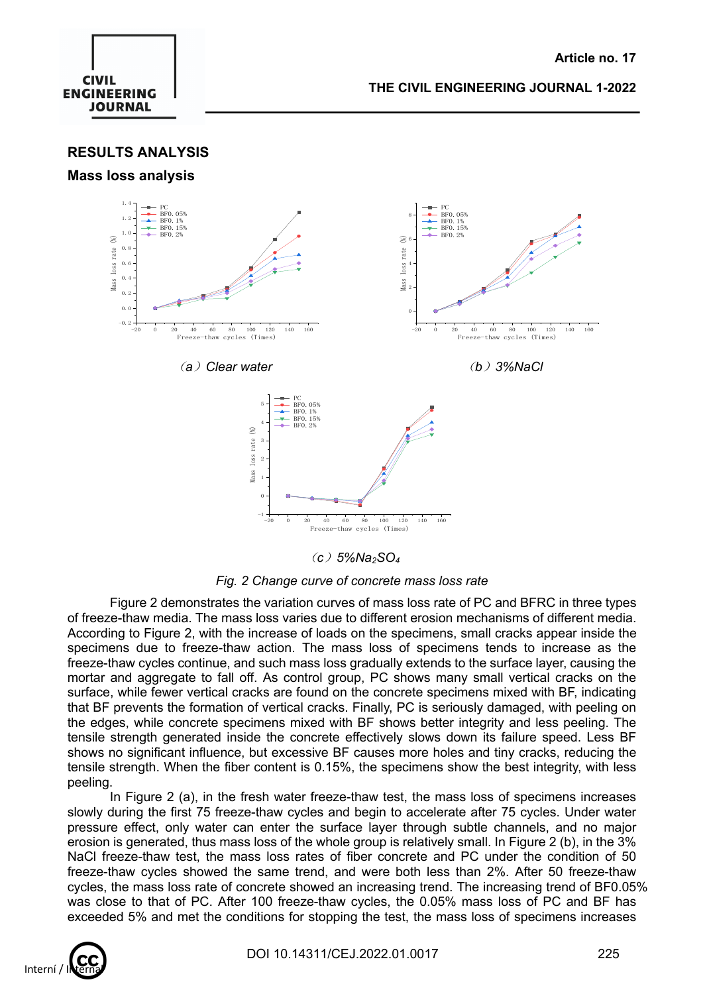

**RESULTS ANALYSIS**

#### **Mass loss analysis**



(*c*)*5%Na2SO4*

*Fig. 2 Change curve of concrete mass loss rate*

Figure 2 demonstrates the variation curves of mass loss rate of PC and BFRC in three types of freeze-thaw media. The mass loss varies due to different erosion mechanisms of different media. According to Figure 2, with the increase of loads on the specimens, small cracks appear inside the specimens due to freeze-thaw action. The mass loss of specimens tends to increase as the freeze-thaw cycles continue, and such mass loss gradually extends to the surface layer, causing the mortar and aggregate to fall off. As control group, PC shows many small vertical cracks on the surface, while fewer vertical cracks are found on the concrete specimens mixed with BF, indicating that BF prevents the formation of vertical cracks. Finally, PC is seriously damaged, with peeling on the edges, while concrete specimens mixed with BF shows better integrity and less peeling. The tensile strength generated inside the concrete effectively slows down its failure speed. Less BF shows no significant influence, but excessive BF causes more holes and tiny cracks, reducing the tensile strength. When the fiber content is 0.15%, the specimens show the best integrity, with less peeling.

In Figure 2 (a), in the fresh water freeze-thaw test, the mass loss of specimens increases slowly during the first 75 freeze-thaw cycles and begin to accelerate after 75 cycles. Under water pressure effect, only water can enter the surface layer through subtle channels, and no major erosion is generated, thus mass loss of the whole group is relatively small. In Figure 2 (b), in the 3% NaCl freeze-thaw test, the mass loss rates of fiber concrete and PC under the condition of 50 freeze-thaw cycles showed the same trend, and were both less than 2%. After 50 freeze-thaw cycles, the mass loss rate of concrete showed an increasing trend. The increasing trend of BF0.05% was close to that of PC. After 100 freeze-thaw cycles, the 0.05% mass loss of PC and BF has exceeded 5% and met the conditions for stopping the test, the mass loss of specimens increases

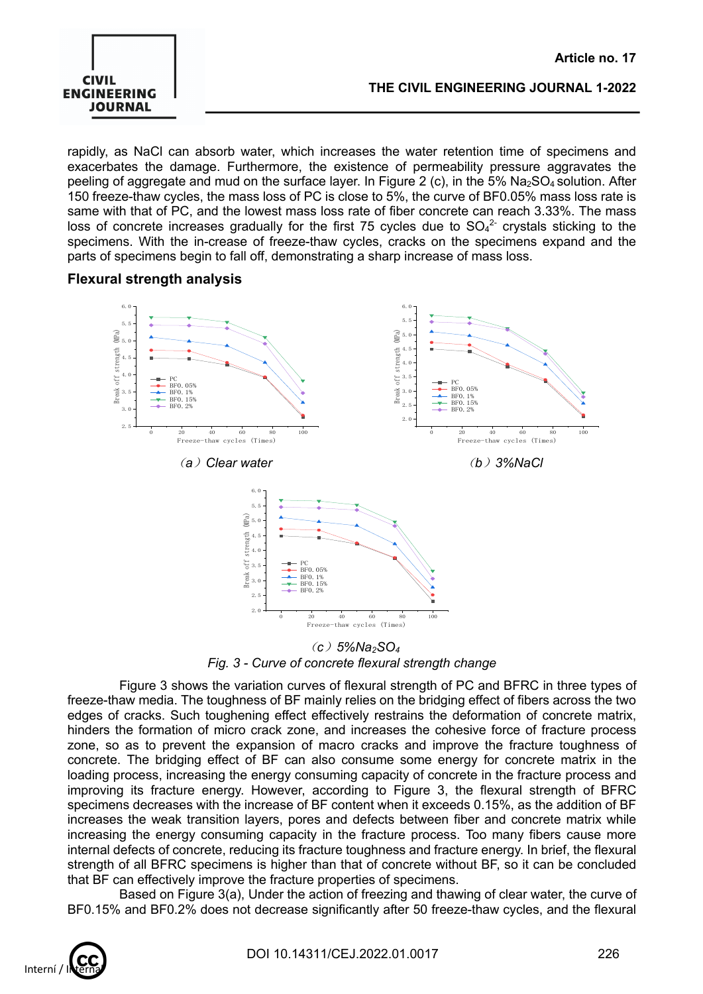

 **Article no. 17**

rapidly, as NaCl can absorb water, which increases the water retention time of specimens and exacerbates the damage. Furthermore, the existence of permeability pressure aggravates the peeling of aggregate and mud on the surface layer. In Figure 2 (c), in the  $5\%$  Na<sub>2</sub>SO<sub>4</sub> solution. After 150 freeze-thaw cycles, the mass loss of PC is close to 5%, the curve of BF0.05% mass loss rate is same with that of PC, and the lowest mass loss rate of fiber concrete can reach 3.33%. The mass loss of concrete increases gradually for the first 75 cycles due to  $SO_4^2$  crystals sticking to the specimens. With the in-crease of freeze-thaw cycles, cracks on the specimens expand and the parts of specimens begin to fall off, demonstrating a sharp increase of mass loss.

## **Flexural strength analysis**



(*c*)*5%Na2SO4 Fig. 3 - Curve of concrete flexural strength change*

Figure 3 shows the variation curves of flexural strength of PC and BFRC in three types of freeze-thaw media. The toughness of BF mainly relies on the bridging effect of fibers across the two edges of cracks. Such toughening effect effectively restrains the deformation of concrete matrix, hinders the formation of micro crack zone, and increases the cohesive force of fracture process zone, so as to prevent the expansion of macro cracks and improve the fracture toughness of concrete. The bridging effect of BF can also consume some energy for concrete matrix in the loading process, increasing the energy consuming capacity of concrete in the fracture process and improving its fracture energy. However, according to Figure 3, the flexural strength of BFRC specimens decreases with the increase of BF content when it exceeds 0.15%, as the addition of BF increases the weak transition layers, pores and defects between fiber and concrete matrix while increasing the energy consuming capacity in the fracture process. Too many fibers cause more internal defects of concrete, reducing its fracture toughness and fracture energy. In brief, the flexural strength of all BFRC specimens is higher than that of concrete without BF, so it can be concluded that BF can effectively improve the fracture properties of specimens.

Based on Figure 3(a), Under the action of freezing and thawing of clear water, the curve of BF0.15% and BF0.2% does not decrease significantly after 50 freeze-thaw cycles, and the flexural

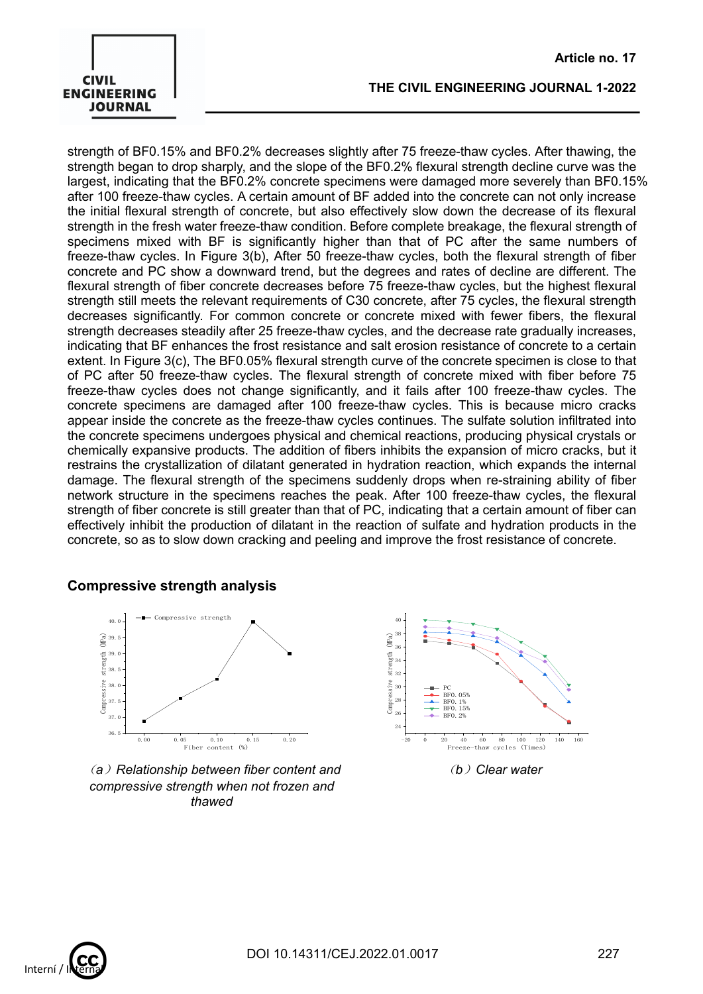## **CIVIL ENGINEERING JOURNAL**

#### **THE CIVIL ENGINEERING JOURNAL 1-2022**

strength of BF0.15% and BF0.2% decreases slightly after 75 freeze-thaw cycles. After thawing, the strength began to drop sharply, and the slope of the BF0.2% flexural strength decline curve was the largest, indicating that the BF0.2% concrete specimens were damaged more severely than BF0.15% after 100 freeze-thaw cycles. A certain amount of BF added into the concrete can not only increase the initial flexural strength of concrete, but also effectively slow down the decrease of its flexural strength in the fresh water freeze-thaw condition. Before complete breakage, the flexural strength of specimens mixed with BF is significantly higher than that of PC after the same numbers of freeze-thaw cycles. In Figure 3(b), After 50 freeze-thaw cycles, both the flexural strength of fiber concrete and PC show a downward trend, but the degrees and rates of decline are different. The flexural strength of fiber concrete decreases before 75 freeze-thaw cycles, but the highest flexural strength still meets the relevant requirements of C30 concrete, after 75 cycles, the flexural strength decreases significantly. For common concrete or concrete mixed with fewer fibers, the flexural strength decreases steadily after 25 freeze-thaw cycles, and the decrease rate gradually increases, indicating that BF enhances the frost resistance and salt erosion resistance of concrete to a certain extent. In Figure 3(c), The BF0.05% flexural strength curve of the concrete specimen is close to that of PC after 50 freeze-thaw cycles. The flexural strength of concrete mixed with fiber before 75 freeze-thaw cycles does not change significantly, and it fails after 100 freeze-thaw cycles. The concrete specimens are damaged after 100 freeze-thaw cycles. This is because micro cracks appear inside the concrete as the freeze-thaw cycles continues. The sulfate solution infiltrated into the concrete specimens undergoes physical and chemical reactions, producing physical crystals or chemically expansive products. The addition of fibers inhibits the expansion of micro cracks, but it restrains the crystallization of dilatant generated in hydration reaction, which expands the internal damage. The flexural strength of the specimens suddenly drops when re-straining ability of fiber network structure in the specimens reaches the peak. After 100 freeze-thaw cycles, the flexural strength of fiber concrete is still greater than that of PC, indicating that a certain amount of fiber can effectively inhibit the production of dilatant in the reaction of sulfate and hydration products in the concrete, so as to slow down cracking and peeling and improve the frost resistance of concrete.

## **Compressive strength analysis**



(*a*)*Relationship between fiber content and compressive strength when not frozen and thawed*



(*b*)*Clear water*

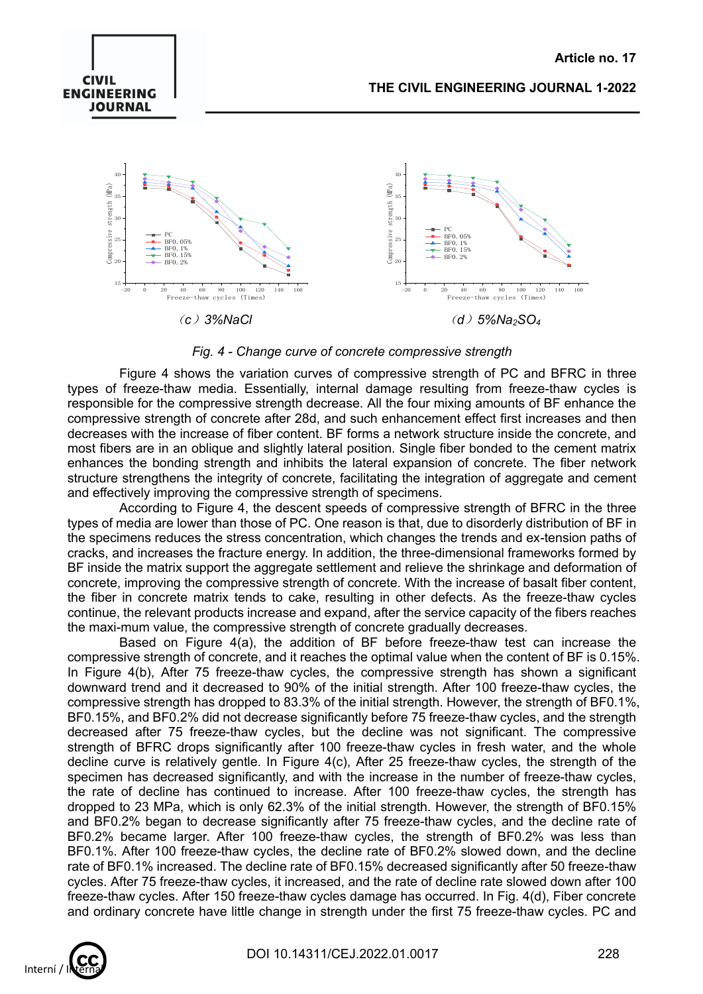

*Fig. 4 - Change curve of concrete compressive strength*

Figure 4 shows the variation curves of compressive strength of PC and BFRC in three types of freeze-thaw media. Essentially, internal damage resulting from freeze-thaw cycles is responsible for the compressive strength decrease. All the four mixing amounts of BF enhance the compressive strength of concrete after 28d, and such enhancement effect first increases and then decreases with the increase of fiber content. BF forms a network structure inside the concrete, and most fibers are in an oblique and slightly lateral position. Single fiber bonded to the cement matrix enhances the bonding strength and inhibits the lateral expansion of concrete. The fiber network structure strengthens the integrity of concrete, facilitating the integration of aggregate and cement and effectively improving the compressive strength of specimens.

According to Figure 4, the descent speeds of compressive strength of BFRC in the three types of media are lower than those of PC. One reason is that, due to disorderly distribution of BF in the specimens reduces the stress concentration, which changes the trends and ex-tension paths of cracks, and increases the fracture energy. In addition, the three-dimensional frameworks formed by BF inside the matrix support the aggregate settlement and relieve the shrinkage and deformation of concrete, improving the compressive strength of concrete. With the increase of basalt fiber content, the fiber in concrete matrix tends to cake, resulting in other defects. As the freeze-thaw cycles continue, the relevant products increase and expand, after the service capacity of the fibers reaches the maxi-mum value, the compressive strength of concrete gradually decreases.

Based on Figure 4(a), the addition of BF before freeze-thaw test can increase the compressive strength of concrete, and it reaches the optimal value when the content of BF is 0.15%. In Figure 4(b), After 75 freeze-thaw cycles, the compressive strength has shown a significant downward trend and it decreased to 90% of the initial strength. After 100 freeze-thaw cycles, the compressive strength has dropped to 83.3% of the initial strength. However, the strength of BF0.1%, BF0.15%, and BF0.2% did not decrease significantly before 75 freeze-thaw cycles, and the strength decreased after 75 freeze-thaw cycles, but the decline was not significant. The compressive strength of BFRC drops significantly after 100 freeze-thaw cycles in fresh water, and the whole decline curve is relatively gentle. In Figure 4(c), After 25 freeze-thaw cycles, the strength of the specimen has decreased significantly, and with the increase in the number of freeze-thaw cycles, the rate of decline has continued to increase. After 100 freeze-thaw cycles, the strength has dropped to 23 MPa, which is only 62.3% of the initial strength. However, the strength of BF0.15% and BF0.2% began to decrease significantly after 75 freeze-thaw cycles, and the decline rate of BF0.2% became larger. After 100 freeze-thaw cycles, the strength of BF0.2% was less than BF0.1%. After 100 freeze-thaw cycles, the decline rate of BF0.2% slowed down, and the decline rate of BF0.1% increased. The decline rate of BF0.15% decreased significantly after 50 freeze-thaw cycles. After 75 freeze-thaw cycles, it increased, and the rate of decline rate slowed down after 100 freeze-thaw cycles. After 150 freeze-thaw cycles damage has occurred. In Fig. 4(d), Fiber concrete and ordinary concrete have little change in strength under the first 75 freeze-thaw cycles. PC and



**CIVIL ENGINEERING JOURNAL**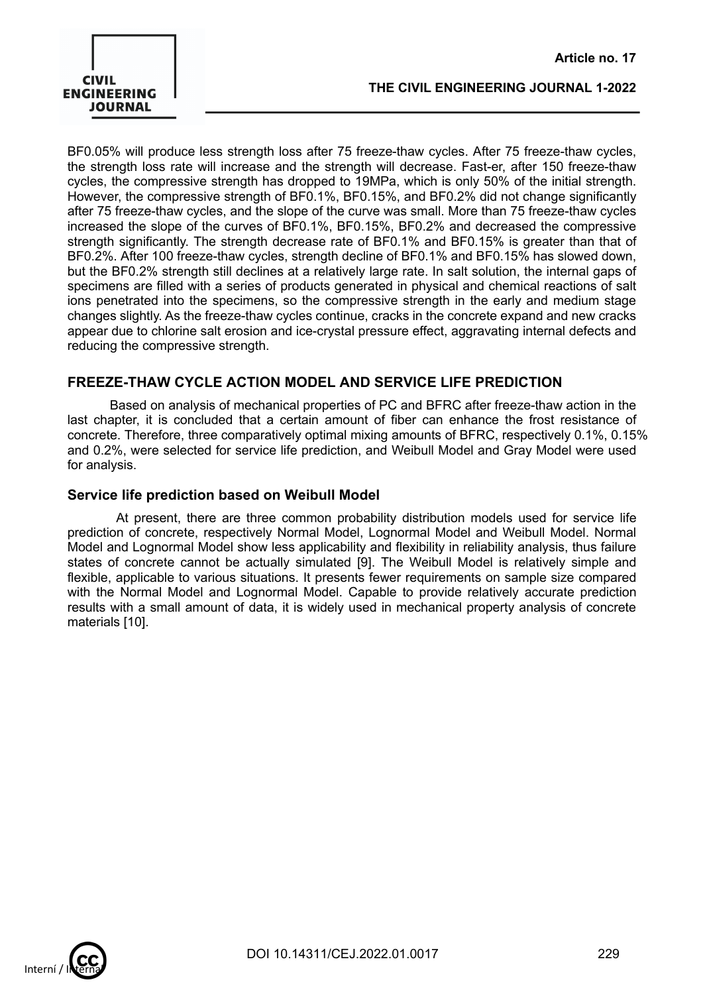

BF0.05% will produce less strength loss after 75 freeze-thaw cycles. After 75 freeze-thaw cycles, the strength loss rate will increase and the strength will decrease. Fast-er, after 150 freeze-thaw cycles, the compressive strength has dropped to 19MPa, which is only 50% of the initial strength. However, the compressive strength of BF0.1%, BF0.15%, and BF0.2% did not change significantly after 75 freeze-thaw cycles, and the slope of the curve was small. More than 75 freeze-thaw cycles increased the slope of the curves of BF0.1%, BF0.15%, BF0.2% and decreased the compressive strength significantly. The strength decrease rate of BF0.1% and BF0.15% is greater than that of BF0.2%. After 100 freeze-thaw cycles, strength decline of BF0.1% and BF0.15% has slowed down, but the BF0.2% strength still declines at a relatively large rate. In salt solution, the internal gaps of specimens are filled with a series of products generated in physical and chemical reactions of salt ions penetrated into the specimens, so the compressive strength in the early and medium stage changes slightly. As the freeze-thaw cycles continue, cracks in the concrete expand and new cracks appear due to chlorine salt erosion and ice-crystal pressure effect, aggravating internal defects and reducing the compressive strength.

## **FREEZE-THAW CYCLE ACTION MODEL AND SERVICE LIFE PREDICTION**

Based on analysis of mechanical properties of PC and BFRC after freeze-thaw action in the last chapter, it is concluded that a certain amount of fiber can enhance the frost resistance of concrete. Therefore, three comparatively optimal mixing amounts of BFRC, respectively 0.1%, 0.15% and 0.2%, were selected for service life prediction, and Weibull Model and Gray Model were used for analysis.

#### **Service life prediction based on Weibull Model**

At present, there are three common probability distribution models used for service life prediction of concrete, respectively Normal Model, Lognormal Model and Weibull Model. Normal Model and Lognormal Model show less applicability and flexibility in reliability analysis, thus failure states of concrete cannot be actually simulated [9]. The Weibull Model is relatively simple and flexible, applicable to various situations. It presents fewer requirements on sample size compared with the Normal Model and Lognormal Model. Capable to provide relatively accurate prediction results with a small amount of data, it is widely used in mechanical property analysis of concrete materials [10].

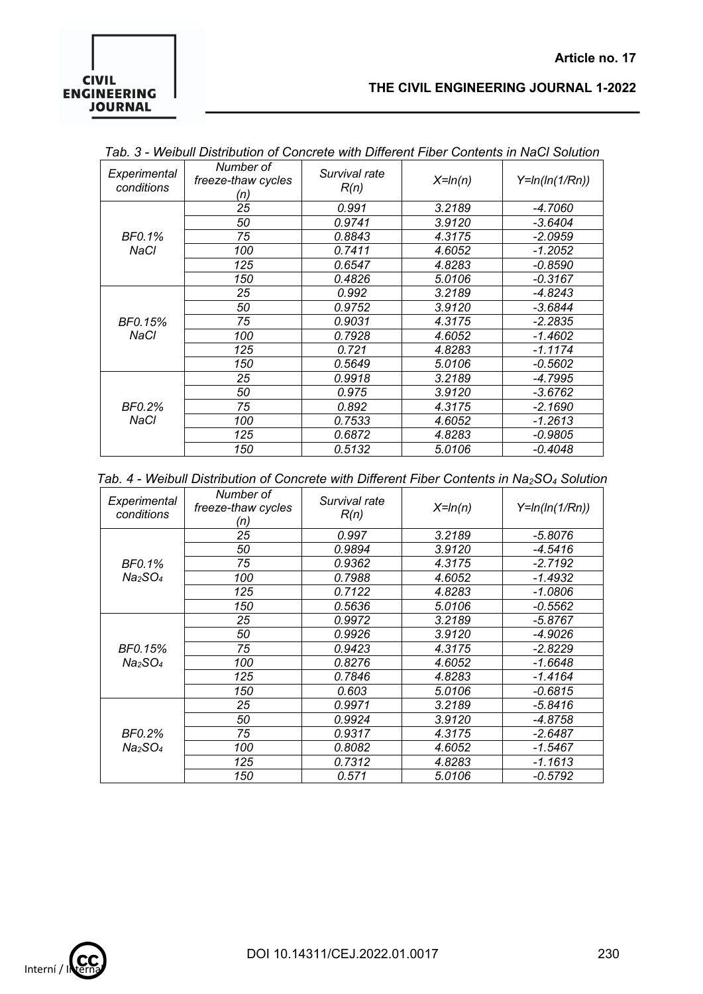## **CIVIL ENGINEERING JOURNAL**

### **THE CIVIL ENGINEERING JOURNAL 1-2022**

 **Article no. 17**

| Experimental<br>conditions | Number of<br>freeze-thaw cycles<br>'n) | Survival rate<br>R(n) | $X=ln(n)$ | $Y=ln(ln(1/Rn))$ |
|----------------------------|----------------------------------------|-----------------------|-----------|------------------|
|                            | 25                                     | 0.991                 | 3.2189    | $-4.7060$        |
|                            | 50                                     | 0.9741                | 3.9120    | $-3.6404$        |
| BF0.1%                     | 75                                     | 0.8843                | 4.3175    | $-2.0959$        |
| NaCl                       | 100                                    | 0.7411                | 4.6052    | $-1.2052$        |
|                            | 125                                    | 0.6547                | 4.8283    | -0.8590          |
|                            | 150                                    | 0.4826                | 5.0106    | $-0.3167$        |
|                            | 25                                     | 0.992                 | 3.2189    | $-4.8243$        |
|                            | 50                                     | 0.9752                | 3.9120    | $-3.6844$        |
| BF0.15%                    | 75                                     | 0.9031                | 4.3175    | $-2.2835$        |
| NaCl                       | 100                                    | 0.7928                | 4.6052    | $-1.4602$        |
|                            | 125                                    | 0.721                 | 4.8283    | $-1.1174$        |
|                            | 150                                    | 0.5649                | 5.0106    | -0.5602          |
|                            | 25                                     | 0.9918                | 3.2189    | $-4.7995$        |
|                            | 50                                     | 0.975                 | 3.9120    | -3.6762          |
| BF0.2%<br>NaCl             | 75                                     | 0.892                 | 4.3175    | $-2.1690$        |
|                            | 100                                    | 0.7533                | 4.6052    | $-1.2613$        |
|                            | 125                                    | 0.6872                | 4.8283    | $-0.9805$        |
|                            | 150                                    | 0.5132                | 5.0106    | $-0.4048$        |

|  |  | Tab. 4 - Weibull Distribution of Concrete with Different Fiber Contents in Na <sub>2</sub> SO <sub>4</sub> Solution |  |  |  |  |  |  |
|--|--|---------------------------------------------------------------------------------------------------------------------|--|--|--|--|--|--|
|--|--|---------------------------------------------------------------------------------------------------------------------|--|--|--|--|--|--|

| Experimental<br>conditions      | Number of<br>freeze-thaw cycles<br>'n) | Survival rate<br>R(n) | $X=ln(n)$ | $Y=ln(ln(1/Rn))$ |
|---------------------------------|----------------------------------------|-----------------------|-----------|------------------|
|                                 | 25                                     | 0.997                 | 3.2189    | -5.8076          |
|                                 | 50                                     | 0.9894                | 3.9120    | -4.5416          |
| BF0.1%                          | 75                                     | 0.9362                | 4.3175    | $-2.7192$        |
| Na <sub>2</sub> SO <sub>4</sub> | 100                                    | 0.7988                | 4.6052    | $-1.4932$        |
|                                 | 125                                    | 0.7122                | 4.8283    | $-1.0806$        |
|                                 | 150                                    | 0.5636                | 5.0106    | -0.5562          |
|                                 | 25                                     | 0.9972                | 3.2189    | $-5.8767$        |
|                                 | 50                                     | 0.9926                | 3.9120    | -4.9026          |
| BF0.15%                         | 75                                     | 0.9423                | 4.3175    | $-2.8229$        |
| Na <sub>2</sub> SO <sub>4</sub> | 100                                    | 0.8276                | 4.6052    | -1.6648          |
|                                 | 125                                    | 0.7846                | 4.8283    | -1.4164          |
|                                 | 150                                    | 0.603                 | 5.0106    | $-0.6815$        |
|                                 | 25                                     | 0.9971                | 3.2189    | -5.8416          |
|                                 | 50                                     | 0.9924                | 3.9120    | $-4.8758$        |
| BF0.2%                          | 75                                     | 0.9317                | 4.3175    | $-2.6487$        |
| Na <sub>2</sub> SO <sub>4</sub> | 100                                    | 0.8082                | 4.6052    | $-1.5467$        |
|                                 | 125                                    | 0.7312                | 4.8283    | $-1.1613$        |
|                                 | 150                                    | 0.571                 | 5.0106    | $-0.5792$        |

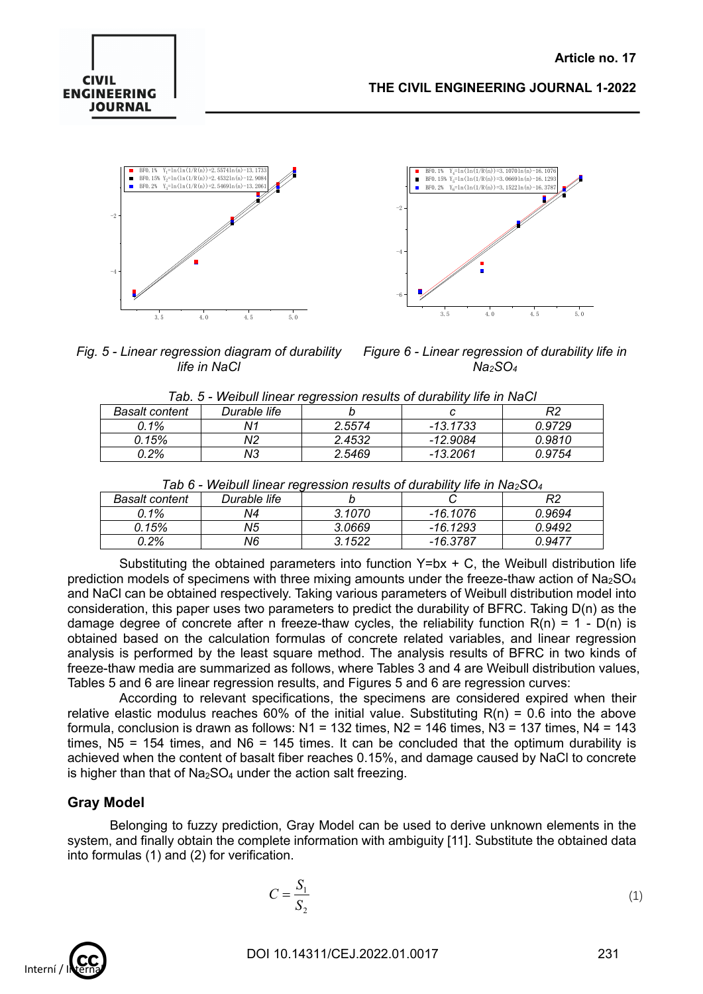# **CIVIL ENGINEERING JOURNAL**





*Fig. 5 - Linear regression diagram of durability life in NaCl*

*Figure 6 - Linear regression of durability life in Na2SO4*

|  | Tab. 5 - Weibull linear regression results of durability life in NaCl |  |
|--|-----------------------------------------------------------------------|--|
|  |                                                                       |  |

| <b>Basalt content</b> | Durable life   |        |            | מח     |  |  |  |
|-----------------------|----------------|--------|------------|--------|--|--|--|
| $0.1\%$               | N <sup>1</sup> | 2.5574 | $-13.1733$ | 0.9729 |  |  |  |
| 0.15%                 | N2             | 2.4532 | -12.9084   | 0.9810 |  |  |  |
| 0.2%                  | NЗ             | 2.5469 | -13.2061   | N 9754 |  |  |  |

| I ab 6 - Weibull linear regression results of durability life in Na $_2$ SO $_4$ |              |        |          |        |  |  |
|----------------------------------------------------------------------------------|--------------|--------|----------|--------|--|--|
| Basalt content                                                                   | Durable life |        |          | R2     |  |  |
| $0.1\%$                                                                          | N4           | 3.1070 | -16.1076 | 0.9694 |  |  |
| 0.15%                                                                            | N5           | 3.0669 | -16.1293 | 0.9492 |  |  |
| 0.2%                                                                             | N6           | 3.1522 | -16.3787 | 0.9477 |  |  |

| Tab 6 - Weibull linear regression results of durability life in $Na2SO4$ |  |  |  |
|--------------------------------------------------------------------------|--|--|--|
|                                                                          |  |  |  |

Substituting the obtained parameters into function  $Y=bx + C$ , the Weibull distribution life prediction models of specimens with three mixing amounts under the freeze-thaw action of  $Na<sub>2</sub>SO<sub>4</sub>$ and NaCl can be obtained respectively. Taking various parameters of Weibull distribution model into consideration, this paper uses two parameters to predict the durability of BFRC. Taking D(n) as the damage degree of concrete after n freeze-thaw cycles, the reliability function  $R(n) = 1 - D(n)$  is obtained based on the calculation formulas of concrete related variables, and linear regression analysis is performed by the least square method. The analysis results of BFRC in two kinds of freeze-thaw media are summarized as follows, where Tables 3 and 4 are Weibull distribution values, Tables 5 and 6 are linear regression results, and Figures 5 and 6 are regression curves:

According to relevant specifications, the specimens are considered expired when their relative elastic modulus reaches 60% of the initial value. Substituting  $R(n) = 0.6$  into the above formula, conclusion is drawn as follows:  $N1 = 132$  times,  $N2 = 146$  times,  $N3 = 137$  times,  $N4 = 143$ times,  $N5 = 154$  times, and  $N6 = 145$  times. It can be concluded that the optimum durability is achieved when the content of basalt fiber reaches 0.15%, and damage caused by NaCl to concrete is higher than that of  $Na<sub>2</sub>SO<sub>4</sub>$  under the action salt freezing.

## **Gray Model**

Belonging to fuzzy prediction, Gray Model can be used to derive unknown elements in the system, and finally obtain the complete information with ambiguity [11]. Substitute the obtained data into formulas (1) and (2) for verification.

$$
C = \frac{S_1}{S_2} \tag{1}
$$

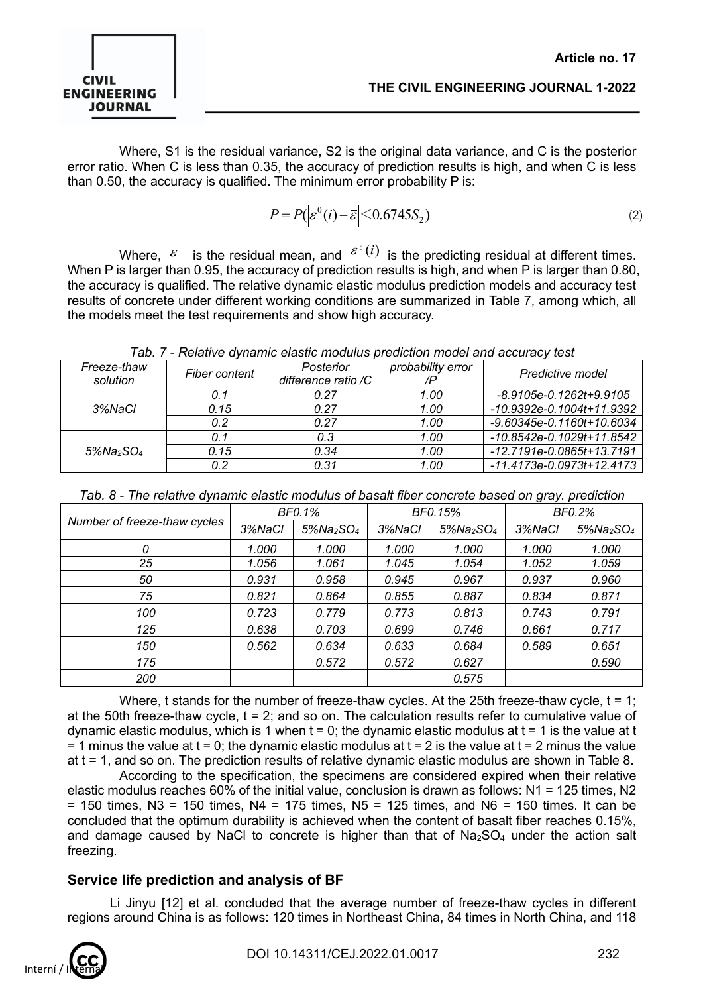

Where, S1 is the residual variance, S2 is the original data variance, and C is the posterior error ratio. When C is less than 0.35, the accuracy of prediction results is high, and when C is less than 0.50, the accuracy is qualified. The minimum error probability P is:

$$
P = P(|\varepsilon^0(i) - \bar{\varepsilon}| < 0.6745S_2) \tag{2}
$$

Where,  $\epsilon$  is the residual mean, and  $\epsilon^{\degree}(i)$  is the predicting residual at different times. When P is larger than 0.95, the accuracy of prediction results is high, and when P is larger than 0.80, the accuracy is qualified. The relative dynamic elastic modulus prediction models and accuracy test results of concrete under different working conditions are summarized in Table 7, among which, all the models meet the test requirements and show high accuracy.

| Freeze-thaw<br>solution | Fiber content | Posterior<br>difference ratio /C | probability error | Predictive model                |
|-------------------------|---------------|----------------------------------|-------------------|---------------------------------|
|                         | 0.1           | 0.27                             | 1.00              | $-8.9105e-0.1262t+9.9105$       |
| 3%NaCl                  | 0.15          | 0.27                             | 1.00              | $-10.9392e-0.1004t+11.9392$     |
|                         | 0.2           | 0.27                             | 1.00              | $-9.60345e - 0.1160t + 10.6034$ |
|                         | 0.1           | 0.3                              | 1.00              | -10.8542e-0.1029t+11.8542       |
| $5\%$ Na>SO4            | 0.15          | 0.34                             | 1.00              | -12.7191e-0.0865t+13.7191       |
|                         | 0.2           | 0.31                             | 1.00              | -11.4173e-0.0973t+12.4173       |

| Number of freeze-thaw cycles | <b>BF0.1%</b> |                                       | BF0.15% |                                       | <b>BF0.2%</b> |                                       |
|------------------------------|---------------|---------------------------------------|---------|---------------------------------------|---------------|---------------------------------------|
|                              | 3%NaCl        | $5\%$ Na <sub>2</sub> SO <sub>4</sub> | 3%NaCl  | $5\%$ Na <sub>2</sub> SO <sub>4</sub> | 3%NaCl        | $5\%$ Na <sub>2</sub> SO <sub>4</sub> |
| 0                            | 1.000         | 1.000                                 | 1.000   | 1.000                                 | 1.000         | 1.000                                 |
| 25                           | 1.056         | 1.061                                 | 1.045   | 1.054                                 | 1.052         | 1.059                                 |
| 50                           | 0.931         | 0.958                                 | 0.945   | 0.967                                 | 0.937         | 0.960                                 |
| 75                           | 0.821         | 0.864                                 | 0.855   | 0.887                                 | 0.834         | 0.871                                 |
| 100                          | 0.723         | 0.779                                 | 0.773   | 0.813                                 | 0.743         | 0.791                                 |
| 125                          | 0.638         | 0.703                                 | 0.699   | 0.746                                 | 0.661         | 0.717                                 |
| 150                          | 0.562         | 0.634                                 | 0.633   | 0.684                                 | 0.589         | 0.651                                 |
| 175                          |               | 0.572                                 | 0.572   | 0.627                                 |               | 0.590                                 |
| 200                          |               |                                       |         | 0.575                                 |               |                                       |

Where, t stands for the number of freeze-thaw cycles. At the 25th freeze-thaw cycle,  $t = 1$ ; at the 50th freeze-thaw cycle,  $t = 2$ ; and so on. The calculation results refer to cumulative value of dynamic elastic modulus, which is 1 when  $t = 0$ ; the dynamic elastic modulus at  $t = 1$  is the value at t  $=$  1 minus the value at t = 0; the dynamic elastic modulus at t = 2 is the value at t = 2 minus the value at t = 1, and so on. The prediction results of relative dynamic elastic modulus are shown in Table 8.

According to the specification, the specimens are considered expired when their relative elastic modulus reaches 60% of the initial value, conclusion is drawn as follows: N1 = 125 times, N2  $=$  150 times, N3 = 150 times, N4 = 175 times, N5 = 125 times, and N6 = 150 times, It can be concluded that the optimum durability is achieved when the content of basalt fiber reaches 0.15%, and damage caused by NaCl to concrete is higher than that of  $Na<sub>2</sub>SO<sub>4</sub>$  under the action salt freezing.

## **Service life prediction and analysis of BF**

Li Jinyu [12] et al. concluded that the average number of freeze-thaw cycles in different regions around China is as follows: 120 times in Northeast China, 84 times in North China, and 118

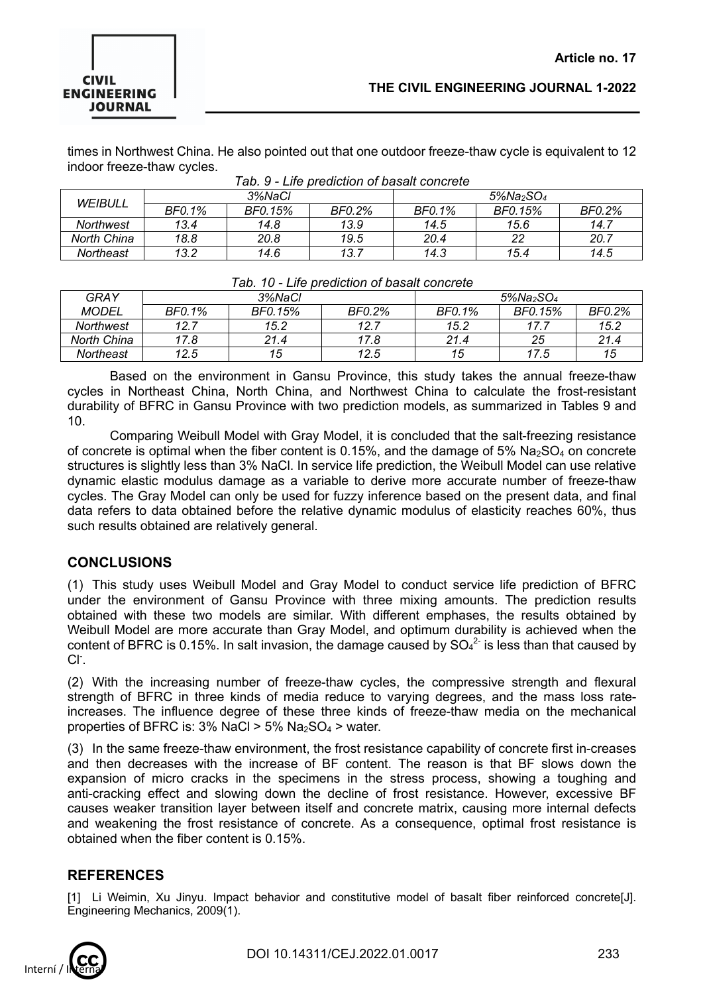times in Northwest China. He also pointed out that one outdoor freeze-thaw cycle is equivalent to 12 indoor freeze-thaw cycles.

| WEIBULL     | 3%NaCl |         |        | $5\%$ Na <sub>2</sub> SO <sub>4</sub> |         |        |  |  |
|-------------|--------|---------|--------|---------------------------------------|---------|--------|--|--|
|             | BF0.1% | BF0.15% | BF0.2% | BF0.1%                                | BF0.15% | BF0.2% |  |  |
| Northwest   | 13.4   | 14.8    | 13.9   | 14.5                                  | 15.6    | 14.7   |  |  |
| North China | 18.8   | 20.8    | 19.5   | 20.4                                  |         | 20.7   |  |  |
| Northeast   | 13.2   | 14.6    | 13.7   | 14.3                                  | 15.4    | 14.5   |  |  |

| Tab. 9 - Life prediction of basalt concrete |  |  |
|---------------------------------------------|--|--|
|                                             |  |  |

| rap. To - Life pregiction of pasalt concrete |        |         |        |                                       |         |        |  |
|----------------------------------------------|--------|---------|--------|---------------------------------------|---------|--------|--|
| GRAY                                         | 3%NaCl |         |        | $5\%$ Na <sub>2</sub> SO <sub>4</sub> |         |        |  |
| <b>MODEL</b>                                 | BF0.1% | BF0.15% | BF0.2% | BF0.1%                                | BF0.15% | BF0.2% |  |
| Northwest                                    | 12.7   | 15.2    | 12.7   | 15.2                                  |         | 15.2   |  |
| North China                                  | 17.8   | 21.4    | 17.8   | 21.4                                  | 25      | 21.4   |  |
| Northeast                                    | 12.5   | 15      | 12.5   | 15                                    | 17.5    | 15     |  |

#### *Tab. 10 - Life prediction of basalt concrete*

Based on the environment in Gansu Province, this study takes the annual freeze-thaw cycles in Northeast China, North China, and Northwest China to calculate the frost-resistant durability of BFRC in Gansu Province with two prediction models, as summarized in Tables 9 and 10.

Comparing Weibull Model with Gray Model, it is concluded that the salt-freezing resistance of concrete is optimal when the fiber content is 0.15%, and the damage of 5%  $Na<sub>2</sub>SO<sub>4</sub>$  on concrete structures is slightly less than 3% NaCl. In service life prediction, the Weibull Model can use relative dynamic elastic modulus damage as a variable to derive more accurate number of freeze-thaw cycles. The Gray Model can only be used for fuzzy inference based on the present data, and final data refers to data obtained before the relative dynamic modulus of elasticity reaches 60%, thus such results obtained are relatively general.

## **CONCLUSIONS**

(1) This study uses Weibull Model and Gray Model to conduct service life prediction of BFRC under the environment of Gansu Province with three mixing amounts. The prediction results obtained with these two models are similar. With different emphases, the results obtained by Weibull Model are more accurate than Gray Model, and optimum durability is achieved when the content of BFRC is 0.15%. In salt invasion, the damage caused by  $SO_4^{2}$  is less than that caused by  $Cl<sub>1</sub>$ .

(2) With the increasing number of freeze-thaw cycles, the compressive strength and flexural strength of BFRC in three kinds of media reduce to varying degrees, and the mass loss rateincreases. The influence degree of these three kinds of freeze-thaw media on the mechanical properties of BFRC is:  $3\%$  NaCl >  $5\%$  Na $_2$ SO<sub>4</sub> > water.

(3) In the same freeze-thaw environment, the frost resistance capability of concrete first in-creases and then decreases with the increase of BF content. The reason is that BF slows down the expansion of micro cracks in the specimens in the stress process, showing a toughing and anti-cracking effect and slowing down the decline of frost resistance. However, excessive BF causes weaker transition layer between itself and concrete matrix, causing more internal defects and weakening the frost resistance of concrete. As a consequence, optimal frost resistance is obtained when the fiber content is 0.15%.

## **REFERENCES**

[1] Li Weimin, Xu Jinyu. Impact behavior and constitutive model of basalt fiber reinforced concrete[J]. Engineering Mechanics, 2009(1).